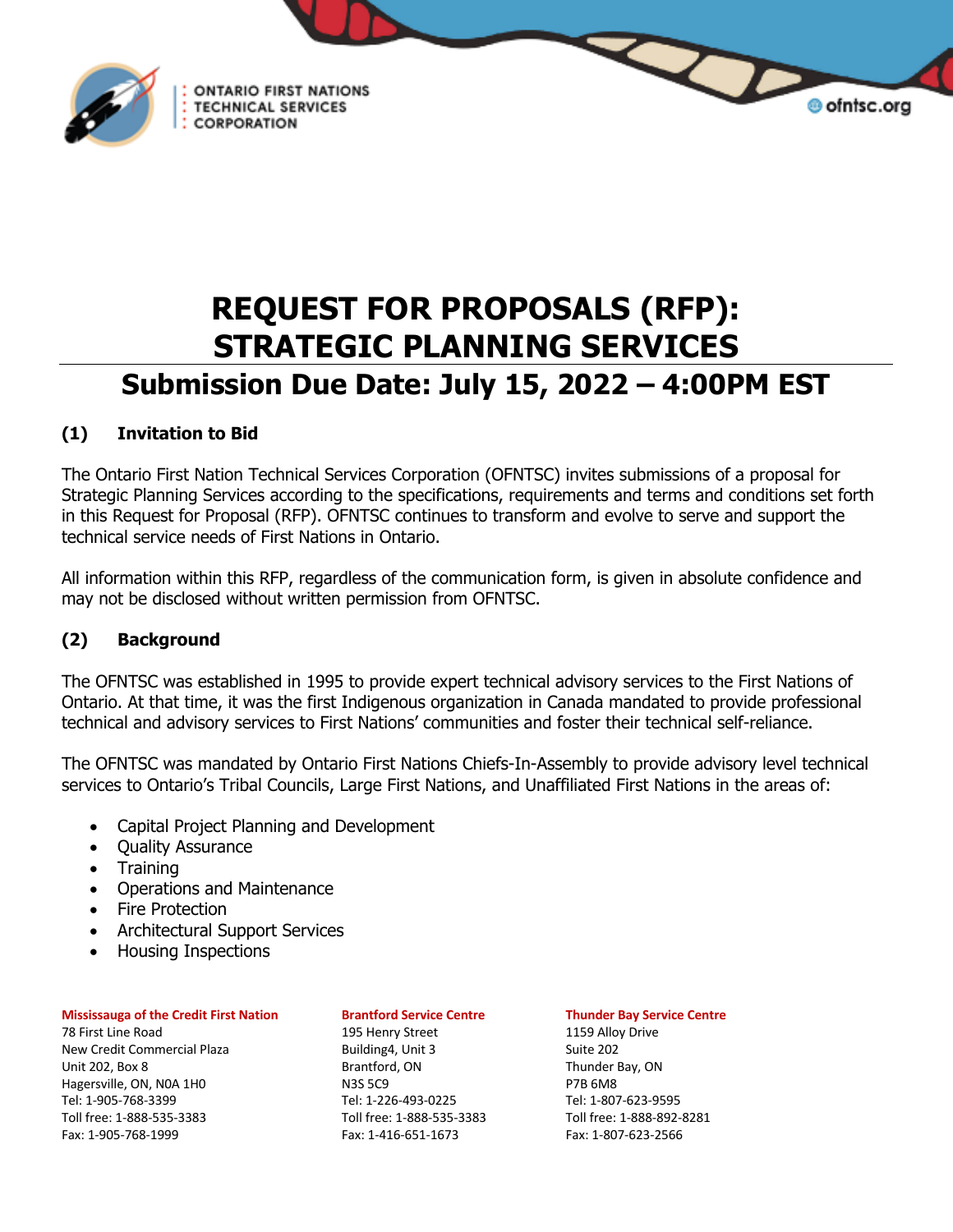

**REQUEST FOR PROPOSALS (RFP): STRATEGIC PLANNING SERVICES Submission Due Date: July 15, 2022 – 4:00PM EST**

# **(1) Invitation to Bid**

The Ontario First Nation Technical Services Corporation (OFNTSC) invites submissions of a proposal for Strategic Planning Services according to the specifications, requirements and terms and conditions set forth in this Request for Proposal (RFP). OFNTSC continues to transform and evolve to serve and support the technical service needs of First Nations in Ontario.

All information within this RFP, regardless of the communication form, is given in absolute confidence and may not be disclosed without written permission from OFNTSC.

# **(2) Background**

The OFNTSC was established in 1995 to provide expert technical advisory services to the First Nations of Ontario. At that time, it was the first Indigenous organization in Canada mandated to provide professional technical and advisory services to First Nations' communities and foster their technical self-reliance.

The OFNTSC was mandated by Ontario First Nations Chiefs-In-Assembly to provide advisory level technical services to Ontario's Tribal Councils, Large First Nations, and Unaffiliated First Nations in the areas of:

• Capital Project Planning and Development

**ONTARIO FIRST NATIONS** 

**TECHNICAL SERVICES** CORPORATION

- Quality Assurance
- Training
- Operations and Maintenance
- Fire Protection
- Architectural Support Services
- Housing Inspections

### **Mississauga of the Credit First Nation Brantford Service Centre Thunder Bay Service Centre**

78 First Line Road 195 Henry Street 1159 Alloy Drive New Credit Commercial Plaza Building4, Unit 3 Suite 202 Unit 202, Box 8 Brantford, ON Brantford, ON Thunder Bay, ON Hagersville, ON, NOA 1HO N3S 5C9 N3S 5C9 P7B 6M8 Tel: 1-905-768-3399 Tel: 1-226-493-0225 Tel: 1-807-623-9595 Toll free: 1-888-535-3383 Toll free: 1-888-535-3383 Toll free: 1-888-892-8281 Fax: 1-905-768-1999 Fax: 1-416-651-1673 Fax: 1-807-623-2566

 $\Delta$ 

**O** ofntsc.org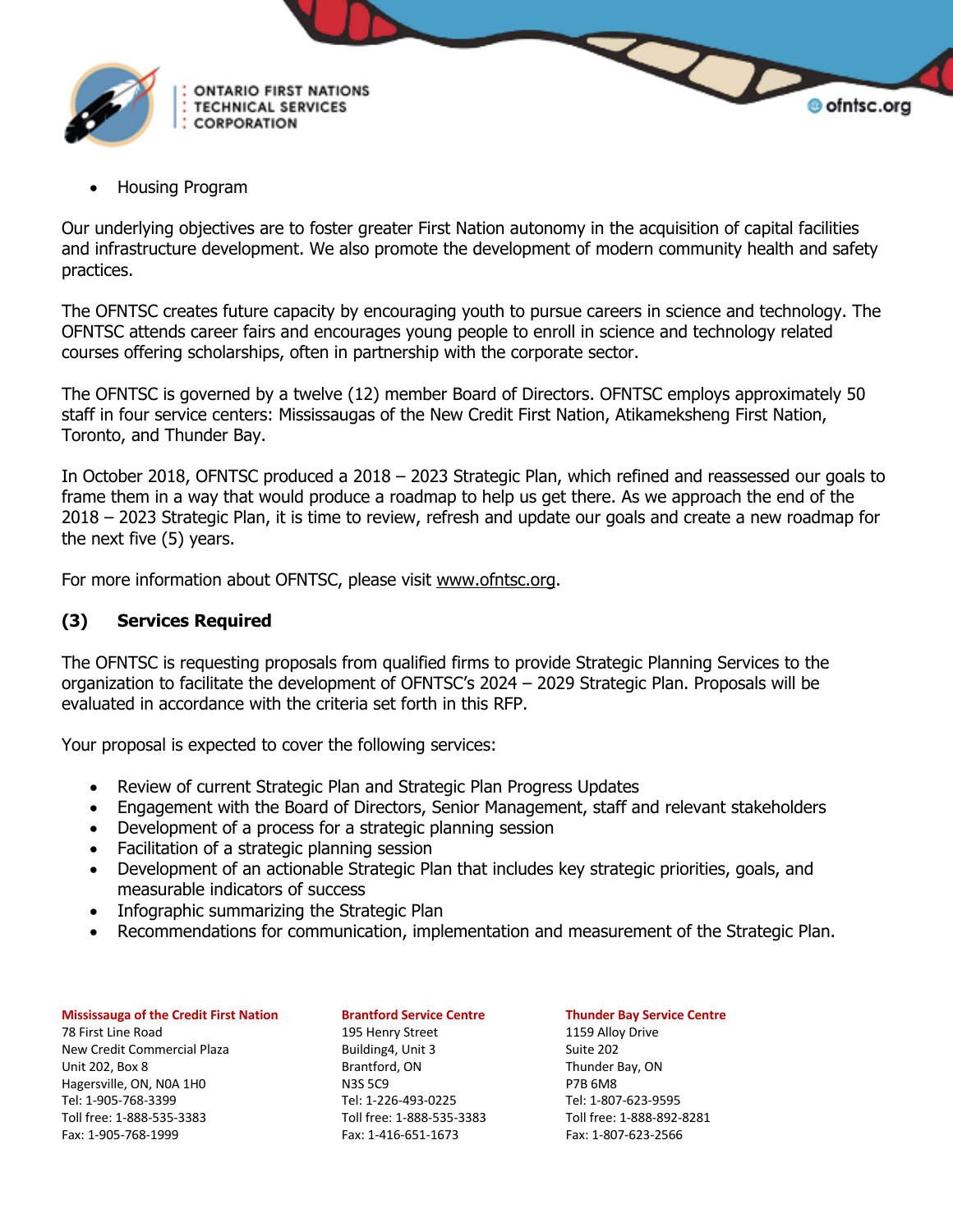

• Housing Program

Our underlying objectives are to foster greater First Nation autonomy in the acquisition of capital facilities and infrastructure development. We also promote the development of modern community health and safety practices.

The OFNTSC creates future capacity by encouraging youth to pursue careers in science and technology. The OFNTSC attends career fairs and encourages young people to enroll in science and technology related courses offering scholarships, often in partnership with the corporate sector.

The OFNTSC is governed by a twelve (12) member Board of Directors. OFNTSC employs approximately 50 staff in four service centers: Mississaugas of the New Credit First Nation, Atikameksheng First Nation, Toronto, and Thunder Bay.

In October 2018, OFNTSC produced a 2018 – 2023 Strategic Plan, which refined and reassessed our goals to frame them in a way that would produce a roadmap to help us get there. As we approach the end of the 2018 – 2023 Strategic Plan, it is time to review, refresh and update our goals and create a new roadmap for the next five (5) years.

For more information about OFNTSC, please visit www.ofntsc.org.

### **(3) Services Required**

The OFNTSC is requesting proposals from qualified firms to provide Strategic Planning Services to the organization to facilitate the development of OFNTSC's 2024 – 2029 Strategic Plan. Proposals will be evaluated in accordance with the criteria set forth in this RFP.

Your proposal is expected to cover the following services:

- Review of current Strategic Plan and Strategic Plan Progress Updates
- Engagement with the Board of Directors, Senior Management, staff and relevant stakeholders
- Development of a process for a strategic planning session
- Facilitation of a strategic planning session
- Development of an actionable Strategic Plan that includes key strategic priorities, goals, and measurable indicators of success
- Infographic summarizing the Strategic Plan
- Recommendations for communication, implementation and measurement of the Strategic Plan.

### **Mississauga of the Credit First Nation Brantford Service Centre Thunder Bay Service Centre**

78 First Line Road 195 Henry Street 1159 Alloy Drive New Credit Commercial Plaza Building4, Unit 3 Suite 202 Unit 202, Box 8 Brantford, ON Thunder Bay, ON Hagersville, ON, NOA 1HO N3S 5C9 N3S 5C9 P7B 6M8 Tel: 1-905-768-3399 Tel: 1-226-493-0225 Tel: 1-807-623-9595 Toll free: 1-888-535-3383 Toll free: 1-888-535-3383 Toll free: 1-888-892-8281 Fax: 1-905-768-1999 Fax: 1-416-651-1673 Fax: 1-807-623-2566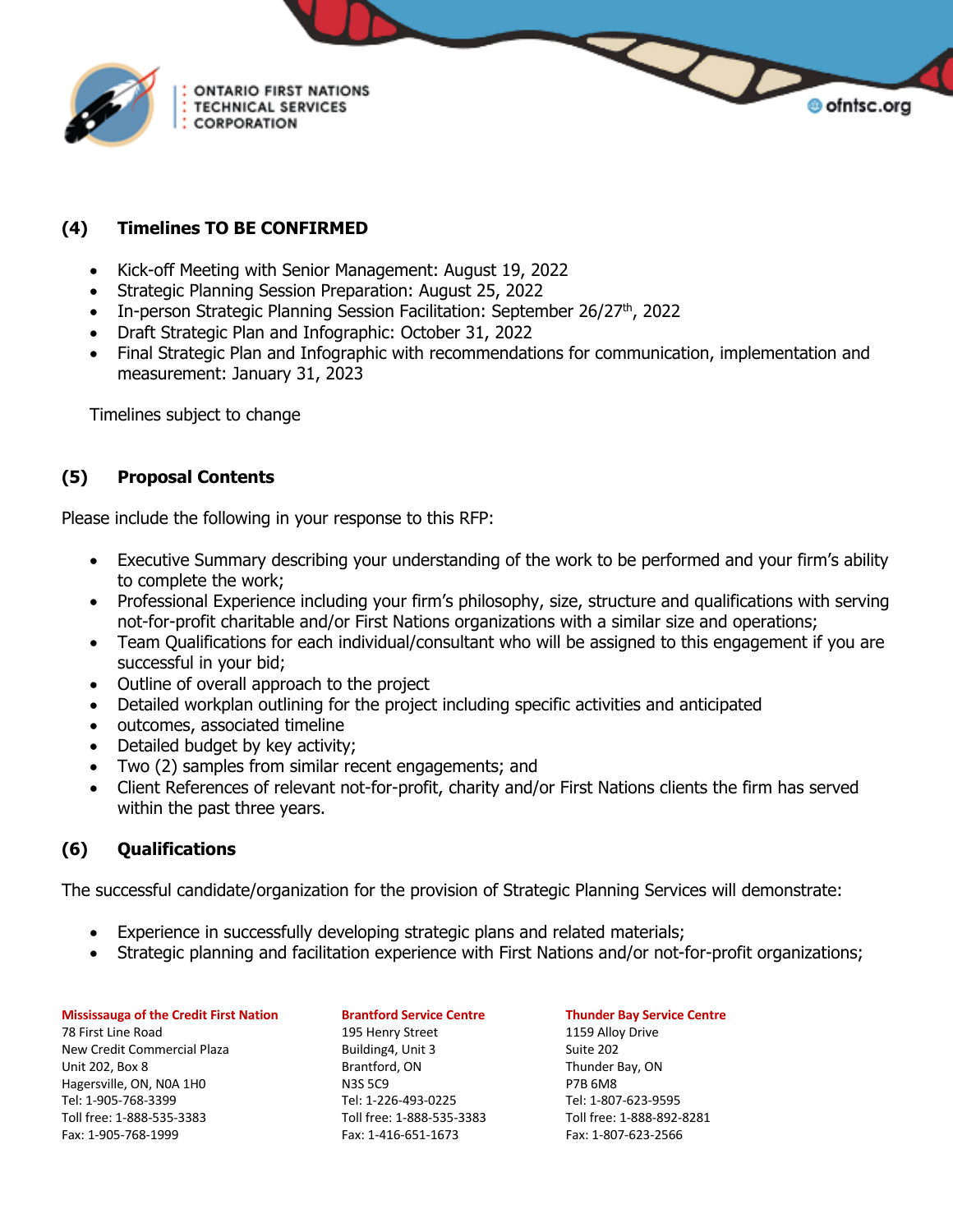

## **(4) Timelines TO BE CONFIRMED**

- Kick-off Meeting with Senior Management: August 19, 2022
- Strategic Planning Session Preparation: August 25, 2022
- In-person Strategic Planning Session Facilitation: September 26/27<sup>th</sup>, 2022
- Draft Strategic Plan and Infographic: October 31, 2022
- Final Strategic Plan and Infographic with recommendations for communication, implementation and measurement: January 31, 2023

Timelines subject to change

# **(5) Proposal Contents**

Please include the following in your response to this RFP:

- Executive Summary describing your understanding of the work to be performed and your firm's ability to complete the work;
- Professional Experience including your firm's philosophy, size, structure and qualifications with serving not-for-profit charitable and/or First Nations organizations with a similar size and operations;
- Team Qualifications for each individual/consultant who will be assigned to this engagement if you are successful in your bid;
- Outline of overall approach to the project
- Detailed workplan outlining for the project including specific activities and anticipated
- outcomes, associated timeline
- Detailed budget by key activity;
- Two (2) samples from similar recent engagements; and
- Client References of relevant not-for-profit, charity and/or First Nations clients the firm has served within the past three years.

## **(6) Qualifications**

The successful candidate/organization for the provision of Strategic Planning Services will demonstrate:

- Experience in successfully developing strategic plans and related materials;
- Strategic planning and facilitation experience with First Nations and/or not-for-profit organizations;

### **Mississauga of the Credit First Nation Brantford Service Centre Thunder Bay Service Centre**

78 First Line Road 195 Henry Street 1159 Alloy Drive New Credit Commercial Plaza Building4, Unit 3 Suite 202 Unit 202, Box 8 Brantford, ON Brantford, ON Thunder Bay, ON Hagersville, ON, NOA 1H0 N3S 5C9 P7B 6M8 Tel: 1-905-768-3399 Tel: 1-226-493-0225 Tel: 1-807-623-9595 Toll free: 1-888-535-3383 Toll free: 1-888-535-3383 Toll free: 1-888-892-8281 Fax: 1-905-768-1999 Fax: 1-416-651-1673 Fax: 1-807-623-2566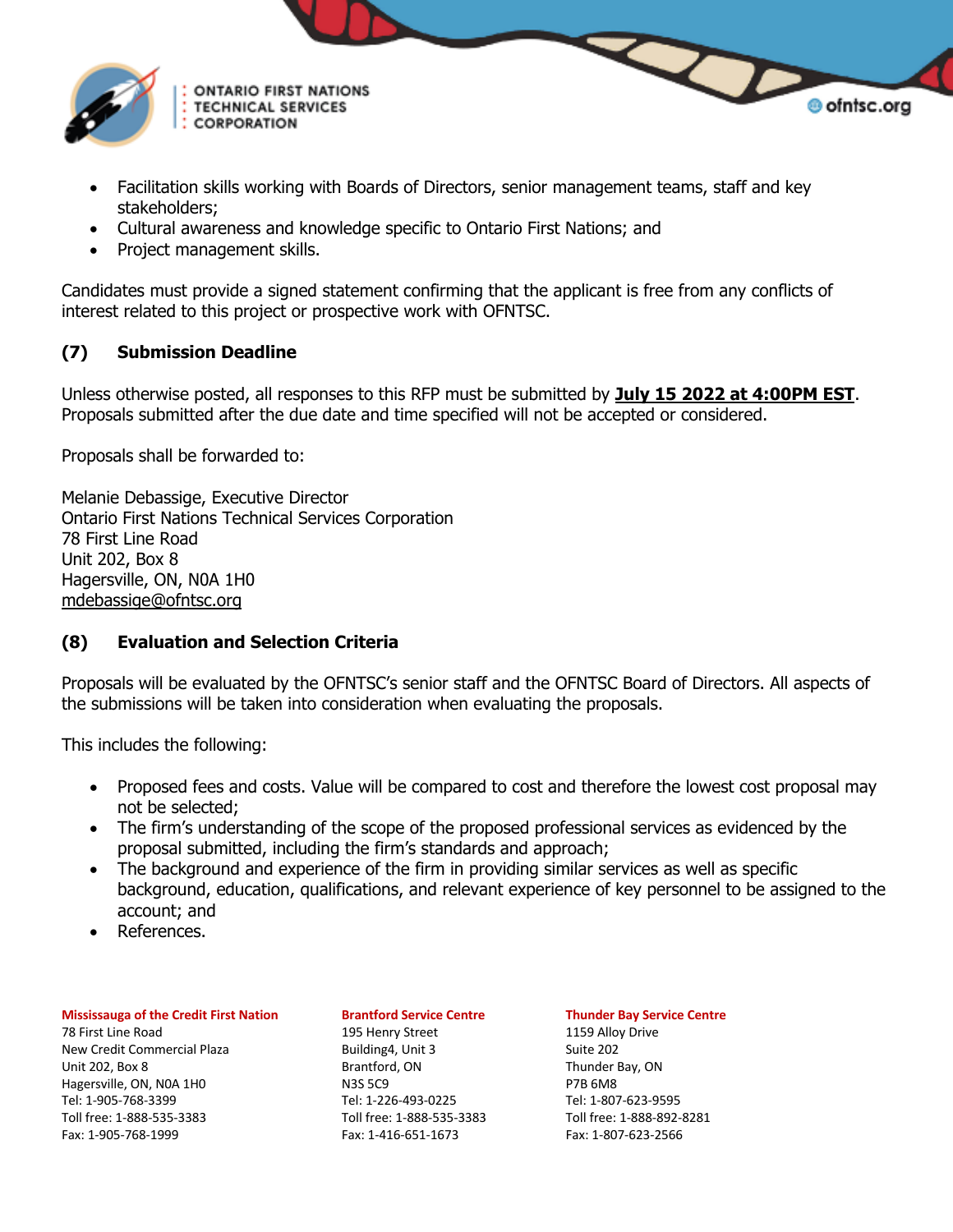

- Facilitation skills working with Boards of Directors, senior management teams, staff and key stakeholders;
- Cultural awareness and knowledge specific to Ontario First Nations; and
- Project management skills.

Candidates must provide a signed statement confirming that the applicant is free from any conflicts of interest related to this project or prospective work with OFNTSC.

## **(7) Submission Deadline**

Unless otherwise posted, all responses to this RFP must be submitted by **July 15 2022 at 4:00PM EST**. Proposals submitted after the due date and time specified will not be accepted or considered.

Proposals shall be forwarded to:

Melanie Debassige, Executive Director Ontario First Nations Technical Services Corporation 78 First Line Road Unit 202, Box 8 Hagersville, ON, N0A 1H0 mdebassige@ofntsc.org

## **(8) Evaluation and Selection Criteria**

Proposals will be evaluated by the OFNTSC's senior staff and the OFNTSC Board of Directors. All aspects of the submissions will be taken into consideration when evaluating the proposals.

This includes the following:

- Proposed fees and costs. Value will be compared to cost and therefore the lowest cost proposal may not be selected;
- The firm's understanding of the scope of the proposed professional services as evidenced by the proposal submitted, including the firm's standards and approach;
- The background and experience of the firm in providing similar services as well as specific background, education, qualifications, and relevant experience of key personnel to be assigned to the account; and
- References.

### **Mississauga of the Credit First Nation Brantford Service Centre Thunder Bay Service Centre**

78 First Line Road 195 Henry Street 1159 Alloy Drive New Credit Commercial Plaza Building4, Unit 3 Suite 202 Unit 202, Box 8 Brantford, ON Brantford, ON Thunder Bay, ON Hagersville, ON, NOA 1H0 N3S 5C9 P7B 6M8 Tel: 1-905-768-3399 Tel: 1-226-493-0225 Tel: 1-807-623-9595 Toll free: 1-888-535-3383 Toll free: 1-888-535-3383 Toll free: 1-888-892-8281 Fax: 1-905-768-1999 Fax: 1-416-651-1673 Fax: 1-807-623-2566